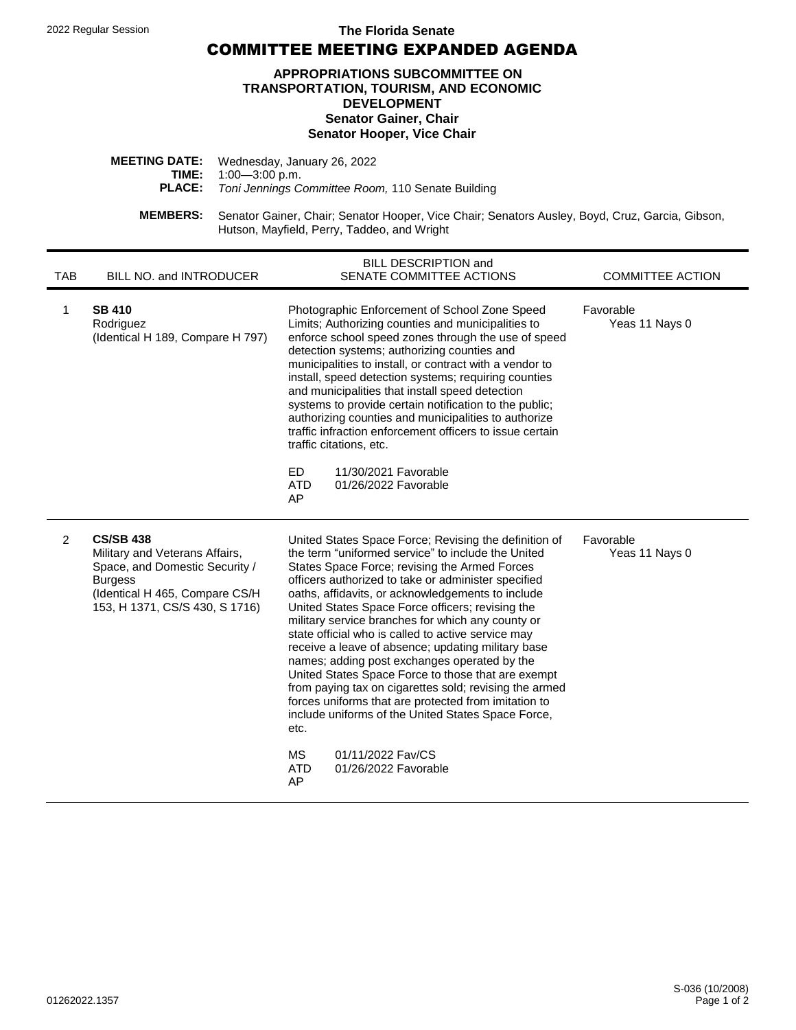## 2022 Regular Session **The Florida Senate**

COMMITTEE MEETING EXPANDED AGENDA

## **APPROPRIATIONS SUBCOMMITTEE ON TRANSPORTATION, TOURISM, AND ECONOMIC DEVELOPMENT Senator Gainer, Chair Senator Hooper, Vice Chair**

| <b>MEETING DATE:</b> Wednesday, January 26, 2022                |
|-----------------------------------------------------------------|
| <b>TIME:</b> $1:00-3:00$ p.m.                                   |
| <b>PLACE:</b> Toni Jennings Committee Room, 110 Senate Building |
|                                                                 |

**MEMBERS:** Senator Gainer, Chair; Senator Hooper, Vice Chair; Senators Ausley, Boyd, Cruz, Garcia, Gibson, Hutson, Mayfield, Perry, Taddeo, and Wright

| <b>TAB</b>     | BILL NO. and INTRODUCER                                                                                                                                                    | BILL DESCRIPTION and<br>SENATE COMMITTEE ACTIONS                                                                                                                                                                                                                                                                                                                                                                                                                                                                                                                                                                                                                                                                                                                                                                                                                  | <b>COMMITTEE ACTION</b>     |
|----------------|----------------------------------------------------------------------------------------------------------------------------------------------------------------------------|-------------------------------------------------------------------------------------------------------------------------------------------------------------------------------------------------------------------------------------------------------------------------------------------------------------------------------------------------------------------------------------------------------------------------------------------------------------------------------------------------------------------------------------------------------------------------------------------------------------------------------------------------------------------------------------------------------------------------------------------------------------------------------------------------------------------------------------------------------------------|-----------------------------|
| 1              | <b>SB 410</b><br>Rodriguez<br>(Identical H 189, Compare H 797)                                                                                                             | Photographic Enforcement of School Zone Speed<br>Limits; Authorizing counties and municipalities to<br>enforce school speed zones through the use of speed<br>detection systems; authorizing counties and<br>municipalities to install, or contract with a vendor to<br>install, speed detection systems; requiring counties<br>and municipalities that install speed detection<br>systems to provide certain notification to the public;<br>authorizing counties and municipalities to authorize<br>traffic infraction enforcement officers to issue certain<br>traffic citations, etc.<br>ED.<br>11/30/2021 Favorable<br>01/26/2022 Favorable<br><b>ATD</b><br>AP                                                                                                                                                                                               | Favorable<br>Yeas 11 Nays 0 |
| $\overline{2}$ | <b>CS/SB 438</b><br>Military and Veterans Affairs,<br>Space, and Domestic Security /<br><b>Burgess</b><br>(Identical H 465, Compare CS/H<br>153, H 1371, CS/S 430, S 1716) | United States Space Force; Revising the definition of<br>the term "uniformed service" to include the United<br>States Space Force; revising the Armed Forces<br>officers authorized to take or administer specified<br>oaths, affidavits, or acknowledgements to include<br>United States Space Force officers; revising the<br>military service branches for which any county or<br>state official who is called to active service may<br>receive a leave of absence; updating military base<br>names; adding post exchanges operated by the<br>United States Space Force to those that are exempt<br>from paying tax on cigarettes sold; revising the armed<br>forces uniforms that are protected from imitation to<br>include uniforms of the United States Space Force,<br>etc.<br>01/11/2022 Fav/CS<br><b>MS</b><br><b>ATD</b><br>01/26/2022 Favorable<br>AP | Favorable<br>Yeas 11 Nays 0 |